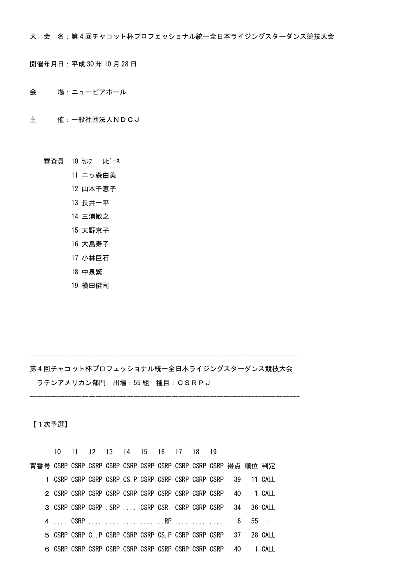大 会 名:第 4 回チャコット杯プロフェッショナル統一全日本ライジングスターダンス競技大会

開催年月日:平成 30 年 10 月 28 日

- 会 場:ニューピアホール
- 主 催:一般社団法人NDCJ
	- 審査員 10 ラルフ レピーネ
		- 11 二ッ森由美
		- 12 山本千恵子
		- 13 長井一平
		- 14 三浦敏之
		- 15 天野京子
		- 16 大島寿子
		- 17 小林巨石
		- 18 中泉繁
		- 19 横田健司

## 第 4 回チャコット杯プロフェッショナル統一全日本ライジングスターダンス競技大会 ラテンアメリカン部門 出場:55 組 種目:CSRPJ

------------------------------------------------------------------------------

------------------------------------------------------------------------------

【1次予選】

|                                                                 |  | 10 11 12 13 14 15 16 17 18 19 |  |  |  |  |  |
|-----------------------------------------------------------------|--|-------------------------------|--|--|--|--|--|
|                                                                 |  |                               |  |  |  |  |  |
| 1 CSRP CSRP CSRP CSRP CS. P CSRP CSRP CSRP CSRP CSRP 39 11 CALL |  |                               |  |  |  |  |  |
|                                                                 |  |                               |  |  |  |  |  |
| 3 CSRP CSRP CSRP . SRP CSRP CSR. CSRP CSRP CSRP 34 36 CALL      |  |                               |  |  |  |  |  |
|                                                                 |  |                               |  |  |  |  |  |
| 5 CSRP CSRP C. P CSRP CSRP CSRP CS P CSRP CSRP CSRP 37 28 CALL  |  |                               |  |  |  |  |  |
|                                                                 |  |                               |  |  |  |  |  |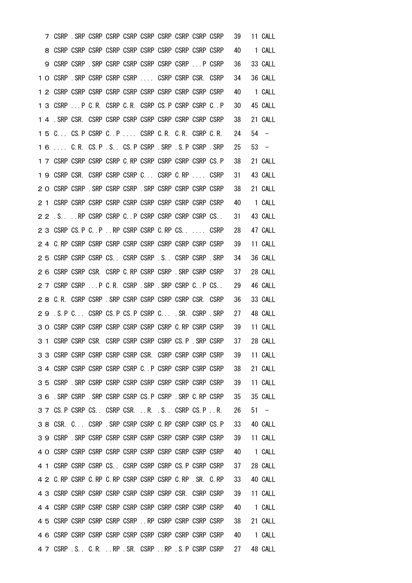|    |    |  |                                                             |  |  |                                                                    | 39 | 11 CALL |
|----|----|--|-------------------------------------------------------------|--|--|--------------------------------------------------------------------|----|---------|
|    | 8. |  |                                                             |  |  |                                                                    | 40 | 1 CALL  |
|    |    |  | 9 CSRP CSRP . SRP CSRP CSRP CSRP CSRP CSRP P CSRP           |  |  |                                                                    | 36 | 33 CALL |
|    |    |  | 1 O CSRP . SRP CSRP CSRP CSRP  CSRP CSRP CSR. CSRP          |  |  |                                                                    | 34 | 36 CALL |
|    |    |  |                                                             |  |  |                                                                    | 40 | 1 CALL  |
|    |    |  | 1 3 CSRP  P C.R. CSRP C.R. CSRP CS. P CSRP CSRP C P         |  |  |                                                                    | 30 | 45 CALL |
|    |    |  |                                                             |  |  |                                                                    | 38 | 21 CALL |
|    |    |  | 15 C CS. P CSRP C P  CSRP C.R. C.R. CSRP C.R.               |  |  |                                                                    | 24 | $54 -$  |
|    |    |  | 1 6  C.R. CS.P .S. CS.P CSRP .SRP .S.P CSRP .SRP            |  |  |                                                                    | 25 | $53 -$  |
|    |    |  | 1 7 CSRP CSRP CSRP CSRP C.RP CSRP CSRP CSRP CSRP CS.P       |  |  |                                                                    | 38 | 21 CALL |
|    |    |  | 1 9 CSRP CSR. CSRP CSRP CSRP C CSRP C.RP  CSRP              |  |  |                                                                    | 31 | 43 CALL |
| 20 |    |  | CSRP CSRP . SRP CSRP CSRP . SRP CSRP CSRP CSRP CSRP         |  |  |                                                                    | 38 | 21 CALL |
|    |    |  |                                                             |  |  |                                                                    | 40 | 1 CALL  |
| 22 |    |  | .S. RP CSRP CSRP C. . P CSRP CSRP CSRP CSRP CS. .           |  |  |                                                                    | 31 | 43 CALL |
|    |    |  | 2 3 CSRP CS. P C. P . RP CSRP CSRP C. RP CS. CSRP           |  |  |                                                                    | 28 | 47 CALL |
|    |    |  |                                                             |  |  |                                                                    | 39 | 11 CALL |
|    |    |  | 2 5 CSRP CSRP CSRP CS. CSRP CSRP S. CSRP CSRP SRP           |  |  |                                                                    | 34 | 36 CALL |
| 26 |    |  | CSRP CSRP CSR. CSRP C.RP CSRP CSRP .SRP CSRP CSRP           |  |  |                                                                    | 37 | 28 CALL |
|    |    |  | 27 CSRP CSRP  P C.R. CSRP . SRP . SRP CSRP C. P CS.         |  |  |                                                                    | 29 | 46 CALL |
|    |    |  | 2 8 C.R. CSRP CSRP . SRP CSRP CSRP CSRP CSRP CSR. CSRP      |  |  |                                                                    | 36 | 33 CALL |
|    |    |  | 29 .S.P C CSRP CS.P CS.P CSRP C SR. CSRP SRP                |  |  |                                                                    | 27 | 48 CALL |
|    |    |  | 3 O CSRP CSRP CSRP CSRP CSRP CSRP CSRP C.RP CSRP CSRP       |  |  |                                                                    | 39 | 11 CALL |
|    | 31 |  | CSRP CSRP CSR. CSRP CSRP CSRP CSRP CS. P. SRP CSRP          |  |  |                                                                    | 37 | 28 CALL |
|    |    |  |                                                             |  |  | 3 3 CSRP CSRP CSRP CSRP CSRP CSR. CSRP CSRP CSRP CSRP CSRP         | 39 | 11 CALL |
|    |    |  |                                                             |  |  | 3 4 CSRP CSRP CSRP CSRP CSRP C. P CSRP CSRP CSRP CSRP              | 38 | 21 CALL |
|    |    |  |                                                             |  |  |                                                                    | 39 | 11 CALL |
|    |    |  | 3 6 . SRP CSRP . SRP CSRP CSRP CS. P CSRP . SRP C. RP CSRP  |  |  |                                                                    | 35 | 35 CALL |
|    |    |  |                                                             |  |  | 3 7 CS. P CSRP CS. CSRP CSR. R. .S. CSRP CS. P.R.                  | 26 | $51 -$  |
|    |    |  | 3 8 CSR. C CSRP . SRP CSRP CSRP C. RP CSRP CSRP CS. P       |  |  |                                                                    | 33 | 40 CALL |
|    |    |  |                                                             |  |  |                                                                    | 39 | 11 CALL |
|    |    |  |                                                             |  |  |                                                                    | 40 | 1 CALL  |
|    |    |  | 4 1 CSRP CSRP CSRP CS. CSRP CSRP CSRP CS. P CSRP CSRP       |  |  |                                                                    | 37 | 28 CALL |
|    |    |  | 4 2 C. RP CSRP C. RP C. RP CSRP CSRP CSRP C. RP . SR. C. RP |  |  |                                                                    | 33 | 40 CALL |
|    |    |  |                                                             |  |  |                                                                    | 39 | 11 CALL |
|    |    |  |                                                             |  |  |                                                                    | 40 | 1 CALL  |
|    |    |  | 4 5 CSRP CSRP CSRP CSRP CSRP  RP CSRP CSRP CSRP CSRP        |  |  |                                                                    | 38 | 21 CALL |
|    |    |  |                                                             |  |  |                                                                    | 40 | 1 CALL  |
|    |    |  |                                                             |  |  | 4 7 CSRP . S. . C. R. RP . SR. CSRP RP . S. P CSRP CSRP 27 48 CALL |    |         |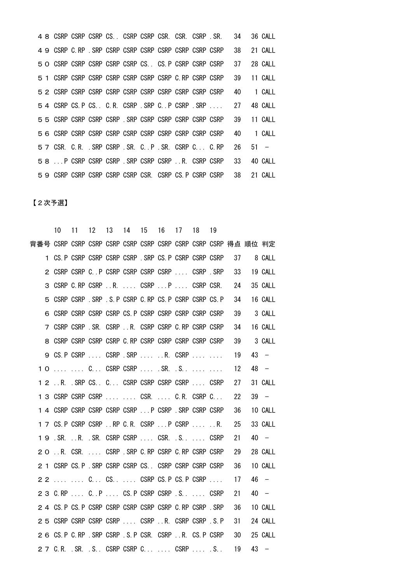CSRP CSRP CSRP CS.. CSRP CSRP CSR. CSR. CSRP .SR. 34 36 CALL CSRP C.RP .SRP CSRP CSRP CSRP CSRP CSRP CSRP CSRP 38 21 CALL CSRP CSRP CSRP CSRP CSRP CS.. CS.P CSRP CSRP CSRP 37 28 CALL CSRP CSRP CSRP CSRP CSRP CSRP CSRP C.RP CSRP CSRP 39 11 CALL CSRP CSRP CSRP CSRP CSRP CSRP CSRP CSRP CSRP CSRP 40 1 CALL CSRP CS.P CS.. C.R. CSRP .SRP C..P CSRP .SRP .... 27 48 CALL CSRP CSRP CSRP CSRP .SRP CSRP CSRP CSRP CSRP CSRP 39 11 CALL CSRP CSRP CSRP CSRP CSRP CSRP CSRP CSRP CSRP CSRP 40 1 CALL CSR. C.R. .SRP CSRP .SR. C..P .SR. CSRP C... C.RP 26 51 − ...P CSRP CSRP CSRP .SRP CSRP CSRP ..R. CSRP CSRP 33 40 CALL CSRP CSRP CSRP CSRP CSRP CSR. CSRP CS.P CSRP CSRP 38 21 CALL

【2次予選】

|  |  |  | 10 11 12 13 14 15 16 17 18 19                               |  |                                                           |    |         |
|--|--|--|-------------------------------------------------------------|--|-----------------------------------------------------------|----|---------|
|  |  |  |                                                             |  |                                                           |    |         |
|  |  |  |                                                             |  | 1 CS. P CSRP CSRP CSRP CSRP . SRP CS. P CSRP CSRP CSRP    | 37 | 8 CALL  |
|  |  |  |                                                             |  | 2 CSRP CSRP C. P CSRP CSRP CSRP CSRP  CSRP .SRP           | 33 | 19 CALL |
|  |  |  |                                                             |  | 3 CSRP C.RP CSRP R.  CSRP P  CSRP CSR.                    | 24 | 35 CALL |
|  |  |  | 5 CSRP CSRP . SRP . S. P CSRP C. RP CS. P CSRP CSRP CS. P   |  |                                                           | 34 | 16 CALL |
|  |  |  | 6 CSRP CSRP CSRP CSRP CS. P CSRP CSRP CSRP CSRP CSRP CSRP   |  |                                                           | 39 | 3 CALL  |
|  |  |  | 7 CSRP CSRP SR. CSRP R. CSRP CSRP C. RP CSRP CSRP           |  |                                                           | 34 | 16 CALL |
|  |  |  | 8 CSRP CSRP CSRP CSRP C. RP CSRP CSRP CSRP CSRP CSRP CSRP   |  |                                                           | 39 | 3 CALL  |
|  |  |  |                                                             |  | 9 CS. P CSRP  CSRP . SRP  R. CSRP                         | 19 | $43 -$  |
|  |  |  | 10   C CSRP CSRP  . SR. . S                                 |  |                                                           | 12 | 48 –    |
|  |  |  | 1 2  R. . SRP CS. . C. CSRP CSRP CSRP CSRP  . CSRP          |  |                                                           | 27 | 31 CALL |
|  |  |  |                                                             |  | 1 3 CSRP CSRP CSRP   CSR.  C.R. CSRP C                    | 22 | $39 -$  |
|  |  |  | 1 4 CSRP CSRP CSRP CSRP CSRP  P CSRP . SRP CSRP CSRP        |  |                                                           | 36 | 10 CALL |
|  |  |  | 1 7 CS. P CSRP CSRP RP C. R. CSRP P CSRP R.                 |  |                                                           | 25 | 33 CALL |
|  |  |  | 19 . SR. R. . SR. CSRP CSRP CSR. . S. CSRP                  |  |                                                           | 21 | $40 -$  |
|  |  |  | 2 O  R. CSR.  CSRP . SRP C. RP CSRP C. RP CSRP CSRP         |  |                                                           | 29 | 28 CALL |
|  |  |  | 2 1 CSRP CS. P . SRP CSRP CSRP CS. CSRP CSRP CSRP CSRP CSRP |  |                                                           | 36 | 10 CALL |
|  |  |  | 2 2   C CS  CSRP CS.P CS.P CSRP                             |  |                                                           | 17 | 46 –    |
|  |  |  | 2 3 C.RP  C.P  CS.P CSRP CSRP .S.  CSRP                     |  |                                                           | 21 | $40 -$  |
|  |  |  | 2 4 CS. P CS. P CSRP CSRP CSRP CSRP CSRP C. RP CSRP . SRP   |  |                                                           | 36 | 10 CALL |
|  |  |  | 2 5 CSRP CSRP CSRP CSRP  CSRP R. CSRP CSRP .S.P             |  |                                                           | 31 | 24 CALL |
|  |  |  |                                                             |  | 2 6 CS. P C. RP . SRP CSRP . S. P CSR. CSRP R. CS. P CSRP | 30 | 25 CALL |
|  |  |  | 2 7 C.R. . SR. . S CSRP CSRP C  CSRP  . S                   |  |                                                           | 19 | $43 -$  |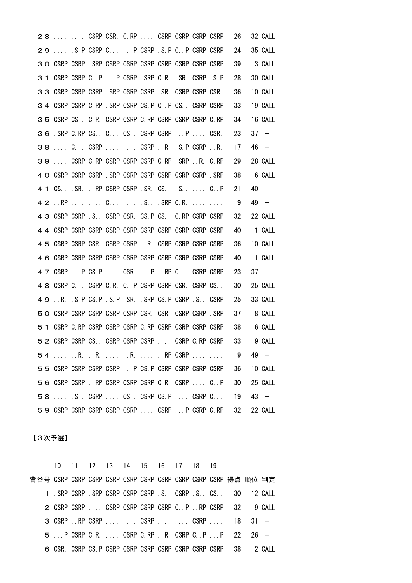|    |  |  | 28   CSRP CSR. C.RP  CSRP CSRP CSRP CSRP                |  |  |                                                      | 26 |    | 32 CALL                  |
|----|--|--|---------------------------------------------------------|--|--|------------------------------------------------------|----|----|--------------------------|
|    |  |  | 29  S. P CSRP C  P CSRP . S. P C P CSRP CSRP            |  |  |                                                      | 24 |    | 35 CALL                  |
|    |  |  | 3 O CSRP CSRP . SRP CSRP CSRP CSRP CSRP CSRP CSRP CSRP  |  |  |                                                      | 39 |    | 3 CALL                   |
|    |  |  | 3 1 CSRP CSRP C. P P CSRP . SRP C. R. . SR. CSRP . S. P |  |  |                                                      | 28 |    | 30 CALL                  |
|    |  |  | 3 3 CSRP CSRP CSRP . SRP CSRP CSRP . SR. CSRP CSRP CSR. |  |  |                                                      | 36 |    | 10 CALL                  |
|    |  |  | 3 4 CSRP CSRP C.RP . SRP CSRP CS.P C. P CS. CSRP CSRP   |  |  |                                                      | 33 |    | 19 CALL                  |
|    |  |  | 3 5 CSRP CS. C.R. CSRP CSRP C.RP CSRP CSRP CSRP C.RP    |  |  |                                                      | 34 |    | 16 CALL                  |
|    |  |  | 36 . SRP C. RP CS. C CS. CSRP CSRP  P  CSR.             |  |  |                                                      | 23 | 37 | $\overline{\phantom{0}}$ |
|    |  |  | 38  C CSRP   CSRP R. .S.P CSRP R.                       |  |  |                                                      | 17 |    | $46 -$                   |
|    |  |  | 39  CSRP C.RP CSRP CSRP CSRP C.RP .SRP R. C.RP          |  |  |                                                      | 29 |    | 28 CALL                  |
|    |  |  | 4 O CSRP CSRP CSRP . SRP CSRP CSRP CSRP CSRP CSRP . SRP |  |  |                                                      | 38 |    | 6 CALL                   |
|    |  |  | 4 1 CS. SR. RP CSRP CSRP SR. CS. S.  C. P               |  |  |                                                      | 21 |    | $40 -$                   |
|    |  |  | 4 2  RP   C  . S . SRP C.R.                             |  |  |                                                      | 9  |    | $49 -$                   |
|    |  |  | 4 3 CSRP CSRP . S. CSRP CSR. CS. P CS. C. RP CSRP CSRP  |  |  |                                                      | 32 |    | 22 CALL                  |
|    |  |  |                                                         |  |  |                                                      | 40 |    | 1 CALL                   |
|    |  |  | 4 5 CSRP CSRP CSR. CSRP CSRP  R. CSRP CSRP CSRP CSRP    |  |  |                                                      | 36 |    | 10 CALL                  |
| 46 |  |  |                                                         |  |  |                                                      | 40 |    | 1 CALL                   |
| 47 |  |  | CSRP  P CS. P  CSR.  P  RP C CSRP CSRP                  |  |  |                                                      | 23 |    | $37 -$                   |
|    |  |  | 4 8 CSRP C CSRP C.R. CP CSRP CSRP CSR. CSRP CS          |  |  |                                                      | 30 |    | 25 CALL                  |
| 49 |  |  | R. .S.P CS.P .S.P .SR. .SRP CS.P CSRP .S CSRP           |  |  |                                                      | 25 |    | 33 CALL                  |
|    |  |  | 5 O CSRP CSRP CSRP CSRP CSRP CSR. CSR. CSRP CSRP . SRP  |  |  |                                                      | 37 |    | 8 CALL                   |
|    |  |  | 5 1 CSRP C. RP CSRP CSRP CSRP C. RP CSRP CSRP CSRP CSRP |  |  |                                                      | 38 |    | 6 CALL                   |
|    |  |  | 5 2 CSRP CSRP CS. CSRP CSRP CSRP  CSRP C.RP CSRP        |  |  |                                                      | 33 |    | 19 CALL                  |
|    |  |  |                                                         |  |  | 54  R. R.  R.  RP CSRP   9                           |    |    | 49 –                     |
|    |  |  |                                                         |  |  | 5 5 CSRP CSRP CSRP CSRP  P CS. P CSRP CSRP CSRP CSRP | 36 |    | 10 CALL                  |
|    |  |  | 56 CSRP CSRP  RP CSRP CSRP CSRP C.R. CSRP  C.P          |  |  |                                                      | 30 |    | 25 CALL                  |
|    |  |  |                                                         |  |  | 58  S. CSRP  CS. CSRP CS.P  CSRP C                   | 19 |    | $43 -$                   |
|    |  |  |                                                         |  |  | 59 CSRP CSRP CSRP CSRP CSRP  CSRP  P CSRP C.RP       | 32 |    | 22 CALL                  |

【3次予選】

|  |                                                                       | 10 11 12 13 14 15 16 17 18 19 |  |  |  |  |  |  |
|--|-----------------------------------------------------------------------|-------------------------------|--|--|--|--|--|--|
|  |                                                                       |                               |  |  |  |  |  |  |
|  | 1 . SRP CSRP . SRP CSRP CSRP CSRP . S. . CSRP . S. . CS. 30 . 12 CALL |                               |  |  |  |  |  |  |
|  | 2 CSRP CSRP  CSRP CSRP CSRP CSRP C.P.RP CSRP 32 9 CALL                |                               |  |  |  |  |  |  |
|  | 3 CSRP RP CSRP   CSRP   CSRP  18 31 -                                 |                               |  |  |  |  |  |  |
|  | 5  P CSRP C.R.  CSRP C.RP R. CSRP C.P  P 22 26 -                      |                               |  |  |  |  |  |  |
|  | 6 CSR. CSRP CS. P CSRP CSRP CSRP CSRP CSRP CSRP CSRP 38 2 CALL        |                               |  |  |  |  |  |  |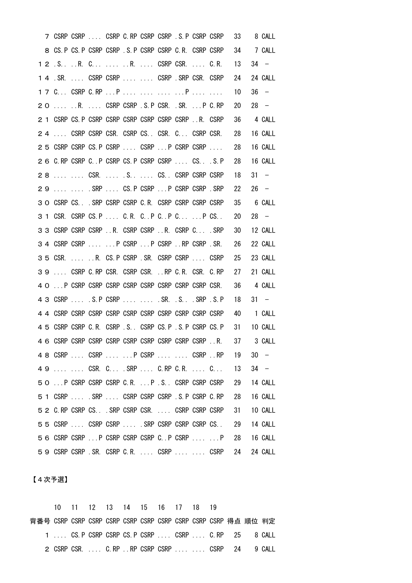|    |          | 7 CSRP CSRP  CSRP C.RP CSRP CSRP .S. P CSRP CSRP         |  |  |  |                                                 | 33 | 8 CALL  |
|----|----------|----------------------------------------------------------|--|--|--|-------------------------------------------------|----|---------|
|    |          | 8 CS. P CS. P CSRP CSRP . S. P CSRP CSRP C. R. CSRP CSRP |  |  |  |                                                 | 34 | 7 CALL  |
|    |          |                                                          |  |  |  |                                                 | 13 | $34 -$  |
|    |          | 1 4 . SR.  CSRP CSRP   CSRP . SRP CSR. CSRP              |  |  |  |                                                 | 24 | 24 CALL |
|    |          | 1 7 C CSRP C.RP  P     P                                 |  |  |  |                                                 | 10 | $36 -$  |
| 20 |          | R.  CSRP CSRP .S.P CSR. .SR. P C.RP                      |  |  |  |                                                 | 20 | $28 -$  |
|    |          | 2 1 CSRP CS. P CSRP CSRP CSRP CSRP CSRP CSRP  R. CSRP    |  |  |  |                                                 | 36 | 4 CALL  |
|    |          | 24  CSRP CSRP CSR. CSRP CS. CSR. C CSRP CSR.             |  |  |  |                                                 | 28 | 16 CALL |
|    |          | 25 CSRP CSRP CS.P CSRP  CSRP  P CSRP CSRP                |  |  |  |                                                 | 28 | 16 CALL |
|    |          | 2 6 C.RP CSRP C. P CSRP CS. P CSRP CSRP  CS. S. P        |  |  |  |                                                 | 28 | 16 CALL |
|    |          | 28   CSR.  . S  CS CSRP CSRP CSRP                        |  |  |  |                                                 | 18 | $31 -$  |
| 29 |          | . SRP  CS. P CSRP  P CSRP CSRP . SRP                     |  |  |  |                                                 | 22 | $26 -$  |
|    |          | 3 O CSRP CS. SRP CSRP CSRP C.R. CSRP CSRP CSRP CSRP      |  |  |  |                                                 | 35 | 6 CALL  |
|    |          | 3 1 CSR. CSRP CS.P  C.R. C. .P C. .P C  P CS             |  |  |  |                                                 | 20 | $28 -$  |
|    |          | 3 3 CSRP CSRP CSRP R. CSRP CSRP R. CSRP C . SRP          |  |  |  |                                                 | 30 | 12 CALL |
|    |          | 3 4 CSRP CSRP   P CSRP  P CSRP  RP CSRP  SR.             |  |  |  |                                                 | 26 | 22 CALL |
|    | 3 5 CSR. | R. CS.P CSRP .SR. CSRP CSRP  CSRP                        |  |  |  |                                                 | 25 | 23 CALL |
| 39 |          | CSRP C. RP CSR. CSRP CSR.  RP C. R. CSR. C. RP           |  |  |  |                                                 | 27 | 21 CALL |
|    |          |                                                          |  |  |  |                                                 | 36 | 4 CALL  |
|    |          | 4 3 CSRP  S.P CSRP   .SR. S. SR. SRP S.P                 |  |  |  |                                                 | 18 | $31 -$  |
|    |          |                                                          |  |  |  |                                                 | 40 | 1 CALL  |
|    |          | 4 5 CSRP CSRP C.R. CSRP .S. CSRP CS.P .S.P CSRP CS.P     |  |  |  |                                                 | 31 | 10 CALL |
|    |          |                                                          |  |  |  |                                                 | 37 | 3 CALL  |
|    |          |                                                          |  |  |  | 4 8 CSRP  CSRP   P CSRP   CSRP RP 19            |    | $30 -$  |
|    |          |                                                          |  |  |  | 49   CSR. C .SRP  C.RP C.R.  C                  | 13 | $34 -$  |
|    |          |                                                          |  |  |  | 50  P CSRP CSRP CSRP C.R.  P .S CSRP CSRP CSRP  | 29 | 14 CALL |
|    |          |                                                          |  |  |  | 5 1 CSRP  . SRP  CSRP CSRP CSRP .S. P CSRP C.RP | 28 | 16 CALL |
|    |          |                                                          |  |  |  | 5 2 C.RP CSRP CS. SRP CSRP CSR.  CSRP CSRP CSRP | 31 | 10 CALL |
|    |          |                                                          |  |  |  | 55 CSRP  CSRP CSRP  SRP CSRP CSRP CSRP CSRP CS. | 29 | 14 CALL |
|    |          |                                                          |  |  |  | 56 CSRP CSRP  P CSRP CSRP CSRP C P CSRP   P     | 28 | 16 CALL |
|    |          |                                                          |  |  |  | 59 CSRP CSRP . SR. CSRP C.R.  CSRP   CSRP       | 24 | 24 CALL |

【4次予選】

 10 11 12 13 14 15 16 17 18 19 背番号 CSRP CSRP CSRP CSRP CSRP CSRP CSRP CSRP CSRP CSRP 得点 順位 判定 .... CS.P CSRP CSRP CS.P CSRP .... CSRP .... C.RP 25 8 CALL CSRP CSR. .... C.RP ..RP CSRP CSRP .... .... CSRP 24 9 CALL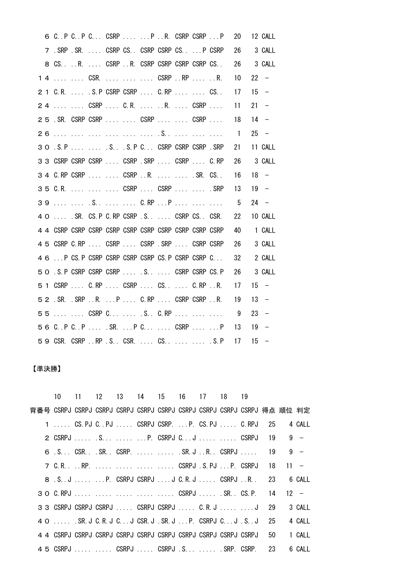|  |  |  | 6 C. P C. P C CSRP   P  R. CSRP CSRP  P            |  |  |                                  | 20             |    | 12 CALL |
|--|--|--|----------------------------------------------------|--|--|----------------------------------|----------------|----|---------|
|  |  |  | 7 . SRP SR.  CSRP CS. CSRP CSRP CS.  P CSRP        |  |  |                                  | 26             |    | 3 CALL  |
|  |  |  | 8 CS. R. CSRP R. CSRP CSRP CSRP CSRP CS. .         |  |  |                                  | 26             |    | 3 CALL  |
|  |  |  | 1 4   CSR.    CSRP RP  R.                          |  |  |                                  | 10             |    | $22 -$  |
|  |  |  | 2 1 C.R.  . S.P CSRP CSRP  C.RP   CS               |  |  |                                  | 17             |    | $15 -$  |
|  |  |  | 24   CSRP  C.R.  R.  CSRP                          |  |  |                                  | 11             |    | $21 -$  |
|  |  |  |                                                    |  |  | 25 . SR. CSRP CSRP   CSRP   CSRP | 18             |    | $14 -$  |
|  |  |  |                                                    |  |  |                                  | $\overline{1}$ |    | $25 -$  |
|  |  |  | 3 O .S. P   S. S. P C. CSRP CSRP CSRP . SRP        |  |  |                                  | 21             |    | 11 CALL |
|  |  |  | 3 3 CSRP CSRP CSRP  CSRP .SRP  CSRP  C.RP          |  |  |                                  | 26             |    | 3 CALL  |
|  |  |  | 3 4 C.RP CSRP   CSRP R.   .SR. CS                  |  |  |                                  | 16             |    | $18 -$  |
|  |  |  | 35 C.R.    CSRP  CSRP   .SRP                       |  |  |                                  | 13             |    | $19 -$  |
|  |  |  | 39   . S   C.RP P                                  |  |  |                                  | 5              |    | $24 -$  |
|  |  |  | 4 O  SR. CS. P C. RP CSRP . S.  CSRP CS. CSR.      |  |  |                                  | 22             |    | 10 CALL |
|  |  |  |                                                    |  |  |                                  | 40             |    | 1 CALL  |
|  |  |  | 4 5 CSRP C.RP  CSRP  CSRP .SRP  CSRP CSRP          |  |  |                                  | 26             |    | 3 CALL  |
|  |  |  | 4 6  P CS. P CSRP CSRP CSRP CSRP CS. P CSRP CSRP C |  |  |                                  | 32             |    | 2 CALL  |
|  |  |  | 5 O . S. P CSRP CSRP CSRP  . S CSRP CSRP CS. P     |  |  |                                  | 26             |    | 3 CALL  |
|  |  |  | 5 1 CSRP  C.RP  CSRP  CS. CS.  C.RP R.             |  |  |                                  | 17             |    | $15 -$  |
|  |  |  | 5 2 . SR. . SRP R. P C. RP CSRP CSRP R.            |  |  |                                  | 19             |    | $13 -$  |
|  |  |  | 55   CSRP C  . S C.RP                              |  |  |                                  | - 9            |    | $23 -$  |
|  |  |  | 56 C.P C.P  SR.  P C  CSRP   P                     |  |  |                                  | 13             |    | $19 -$  |
|  |  |  | 59 CSR. CSRP RP .S CSR.  CS   .S.P                 |  |  |                                  | 17             | 15 |         |

## 【準決勝】

|                                                                                |                                                                 |  |  |  | 10 11 12 13 14 15 16 17 18 19 |    |        |
|--------------------------------------------------------------------------------|-----------------------------------------------------------------|--|--|--|-------------------------------|----|--------|
| 背番号 CSRPJ CSRPJ CSRPJ CSRPJ CSRPJ CSRPJ CSRPJ CSRPJ CSRPJ CSRPJ CSRPJ 得点 順位 判定 |                                                                 |  |  |  |                               |    |        |
|                                                                                | 1  CS. PJ C. PJ  CSRPJ CSRP.  P. CS. PJ  C. RPJ 25 4 CALL       |  |  |  |                               |    |        |
|                                                                                | 2 CSRPJ  .S  P. CSRPJ CJ   CSRPJ 19                             |  |  |  |                               |    | $9 -$  |
|                                                                                | 6 . S. CSR. SR. . CSRP. SR. J R. . CSRPJ 19                     |  |  |  |                               |    | $9 -$  |
|                                                                                |                                                                 |  |  |  |                               |    |        |
|                                                                                | 8. S. J  P. CSRPJ CSRPJ J C. R. J CSRPJ R. 23 6 CALL            |  |  |  |                               |    |        |
|                                                                                | 3 O C.RPJ     CSRPJ  .SR. CS.P. 14 12 -                         |  |  |  |                               |    |        |
|                                                                                | 3 3 CSRPJ CSRPJ CSRPJ  CSRPJ CSRPJ  C. R. J   J 29              |  |  |  |                               |    | 3 CALL |
|                                                                                | 4 0  SR. J C. R. J C. J CSR. J . SR. J  P. CSRPJ C. J . S. . J  |  |  |  |                               | 25 | 4 CALL |
|                                                                                | 4 4 CSRPJ CSRPJ CSRPJ CSRPJ CSRPJ CSRPJ CSRPJ CSRPJ CSRPJ CSRPJ |  |  |  |                               | 50 | 1 CALL |
|                                                                                | 4 5 CSRPJ   CSRPJ  CSRPJ .S  .SRP. CSRP. 23                     |  |  |  |                               |    | 6 CALL |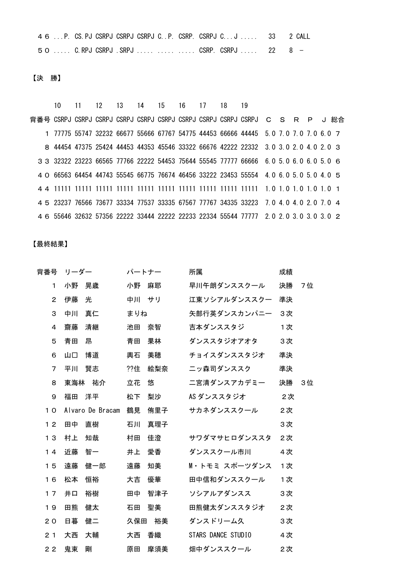|  | 4 6  P. CS. PJ CSRPJ CSRPJ CSRPJ C P. CSRP. CSRPJ CJ 33 2 CALL |  |  |  |
|--|----------------------------------------------------------------|--|--|--|
|  | 50  C.RPJ CSRPJ .SRPJ    CSRP. CSRPJ  22 8 -                   |  |  |  |

【決 勝】

 10 11 12 13 14 15 16 17 18 19 背番号 CSRPJ CSRPJ CSRPJ CSRPJ CSRPJ CSRPJ CSRPJ CSRPJ CSRPJ CSRPJ C S R P J 総合 77775 55747 32232 66677 55666 67767 54775 44453 66666 44445 5.0 7.0 7.0 7.0 6.0 7 44454 47375 25424 44453 44353 45546 33322 66676 42222 22332 3.0 3.0 2.0 4.0 2.0 3 32322 23223 66565 77766 22222 54453 75644 55545 77777 66666 6.0 5.0 6.0 6.0 5.0 6 66563 64454 44743 55545 66775 76674 46456 33222 23453 55554 4.0 6.0 5.0 5.0 4.0 5 11111 11111 11111 11111 11111 11111 11111 11111 11111 11111 1.0 1.0 1.0 1.0 1.0 1 23237 76566 73677 33334 77537 33335 67567 77767 34335 33223 7.0 4.0 4.0 2.0 7.0 4 55646 32632 57356 22222 33444 22222 22233 22334 55544 77777 2.0 2.0 3.0 3.0 3.0 2

【最終結果】

| 背番号            | リーダー |                  | パートナー |       | 所属                 | 成績 |    |
|----------------|------|------------------|-------|-------|--------------------|----|----|
| 1              | 小野   | 晃歳               | 小野    | 麻耶    | 早川午朗ダンススクール        | 決勝 | 7位 |
| $\overline{2}$ | 伊藤   | 光                |       | 中川 サリ | 江東ソシアルダンススクー       | 準決 |    |
| 3              | 中川   | 真仁               | まりね   |       | 矢部行英ダンスカンパニー       | 3次 |    |
| 4              | 齋藤   | 清継               | 池田    | 奈智    | 吉本ダンススタジ           | 1次 |    |
| 5              | 青田   | 昂                | 青田    | 果林    | ダンススタジオアオタ         | 3次 |    |
| 6              | 山口   | 博道               | 輿石    | 美穂    | チョイスダンススタジオ        | 準決 |    |
| $\overline{7}$ | 平川   | 賢志               | ??住   | 絵梨奈   | ニッ森司ダンススク          | 準決 |    |
| 8              |      | 東海林 祐介           | 立花    | 悠     | 二宮清ダンスアカデミー        | 決勝 | 3位 |
| 9              | 福田   | 洋平               | 松下    | 梨沙    | AS ダンススタジオ         | 2次 |    |
| 10             |      | Alvaro De Bracam | 鶴見    | 侑里子   | サカネダンススクール         | 2次 |    |
| 12             | 田中   | 直樹               | 石川    | 真理子   |                    | 3次 |    |
| 13             | 村上   | 知哉               | 村田    | 佳澄    | サワダマサヒロダンススタ       | 2次 |    |
| 14             | 近藤   | 智一               | 井上    | 愛香    | ダンススクール市川          | 4次 |    |
| 15             | 遠藤   | 健一郎              | 遠藤    | 知美    | M・トモミ スポーツダンス      | 1次 |    |
| 16             | 松本   | 恒裕               | 大吉    | 優華    | 田中信和ダンススクール        | 1次 |    |
| 17             | 井口   | 裕樹               | 田中    | 智津子   | ソシアルアダンスス          | 3次 |    |
| 19             | 田熊   | 健太               | 石田    | 聖美    | 田熊健太ダンススタジオ        | 2次 |    |
| 20             | 日暮   | 健二               | 久保田   | 裕美    | ダンスドリーム久           | 3次 |    |
| 2 <sub>1</sub> | 大西   | 大輔               | 大西    | 香織    | STARS DANCE STUDIO | 4次 |    |
| 22             | 鬼束   | 剛                | 原田    | 摩須美   | 畑中ダンススクール          | 2次 |    |